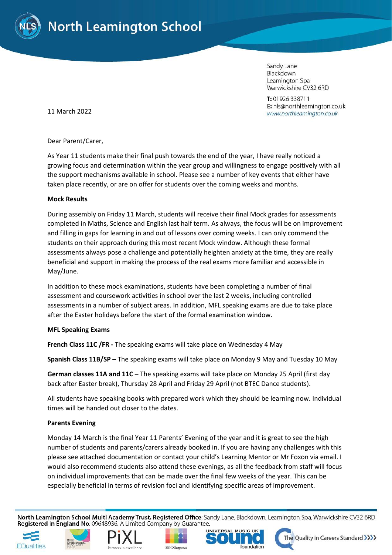

Sandy Lane Blackdown Leamington Spa Warwickshire CV32 6RD

T: 01926 338711 E: nls@northleamington.co.uk www.northleamington.co.uk

11 March 2022

Dear Parent/Carer,

As Year 11 students make their final push towards the end of the year, I have really noticed a growing focus and determination within the year group and willingness to engage positively with all the support mechanisms available in school. Please see a number of key events that either have taken place recently, or are on offer for students over the coming weeks and months.

#### **Mock Results**

During assembly on Friday 11 March, students will receive their final Mock grades for assessments completed in Maths, Science and English last half term. As always, the focus will be on improvement and filling in gaps for learning in and out of lessons over coming weeks. I can only commend the students on their approach during this most recent Mock window. Although these formal assessments always pose a challenge and potentially heighten anxiety at the time, they are really beneficial and support in making the process of the real exams more familiar and accessible in May/June.

In addition to these mock examinations, students have been completing a number of final assessment and coursework activities in school over the last 2 weeks, including controlled assessments in a number of subject areas. In addition, MFL speaking exams are due to take place after the Easter holidays before the start of the formal examination window.

#### **MFL Speaking Exams**

**French Class 11C /FR -** The speaking exams will take place on Wednesday 4 May

**Spanish Class 11B/SP –** The speaking exams will take place on Monday 9 May and Tuesday 10 May

**German classes 11A and 11C –** The speaking exams will take place on Monday 25 April (first day back after Easter break), Thursday 28 April and Friday 29 April (not BTEC Dance students).

All students have speaking books with prepared work which they should be learning now. Individual times will be handed out closer to the dates.

#### **Parents Evening**

Monday 14 March is the final Year 11 Parents' Evening of the year and it is great to see the high number of students and parents/carers already booked in. If you are having any challenges with this please see attached documentation or contact your child's Learning Mentor or Mr Foxon via email. I would also recommend students also attend these evenings, as all the feedback from staff will focus on individual improvements that can be made over the final few weeks of the year. This can be especially beneficial in terms of revision foci and identifying specific areas of improvement.

North Leamington School Multi Academy Trust. Registered Office: Sandy Lane, Blackdown, Leamington Spa, Warwickshire CV32 6RD Registered in England No. 09648936. A Limited Company by Guarantee.











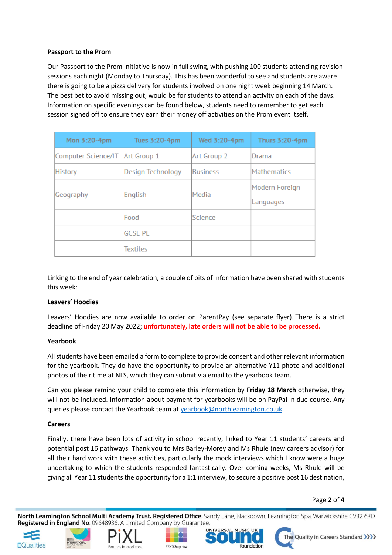# **Passport to the Prom**

Our Passport to the Prom initiative is now in full swing, with pushing 100 students attending revision sessions each night (Monday to Thursday). This has been wonderful to see and students are aware there is going to be a pizza delivery for students involved on one night week beginning 14 March. The best bet to avoid missing out, would be for students to attend an activity on each of the days. Information on specific evenings can be found below, students need to remember to get each session signed off to ensure they earn their money off activities on the Prom event itself.

| Mon 3:20-4pm        | Tues 3:20-4pm     | Wed 3:20-4pm    | Thurs 3:20-4pm     |
|---------------------|-------------------|-----------------|--------------------|
| Computer Science/IT | Art Group 1       | Art Group 2     | Drama              |
| <b>History</b>      | Design Technology | <b>Business</b> | <b>Mathematics</b> |
| Geography           | English           | Media           | Modern Foreign     |
|                     |                   |                 | Languages          |
|                     | Food              | Science         |                    |
|                     | <b>GCSE PE</b>    |                 |                    |
|                     | Textiles          |                 |                    |

Linking to the end of year celebration, a couple of bits of information have been shared with students this week:

# **Leavers' Hoodies**

Leavers' Hoodies are now available to order on ParentPay (see separate flyer). There is a strict deadline of Friday 20 May 2022; **unfortunately, late orders will not be able to be processed.**

# **Yearbook**

All students have been emailed a form to complete to provide consent and other relevant information for the yearbook. They do have the opportunity to provide an alternative Y11 photo and additional photos of their time at NLS, which they can submit via email to the yearbook team.

Can you please remind your child to complete this information by **Friday 18 March** otherwise, they will not be included. Information about payment for yearbooks will be on PayPal in due course. Any queries please contact the Yearbook team at [yearbook@northleamington.co.uk.](mailto:yearbook@northleamington.co.uk)

# **Careers**

Finally, there have been lots of activity in school recently, linked to Year 11 students' careers and potential post 16 pathways. Thank you to Mrs Barley-Morey and Ms Rhule (new careers advisor) for all their hard work with these activities, particularly the mock interviews which I know were a huge undertaking to which the students responded fantastically. Over coming weeks, Ms Rhule will be giving all Year 11 students the opportunity for a 1:1 interview, to secure a positive post 16 destination,

#### Page **2** of **4**

North Leamington School Multi Academy Trust. Registered Office: Sandy Lane, Blackdown, Leamington Spa, Warwickshire CV32 6RD Registered in England No. 09648936. A Limited Company by Guarantee.











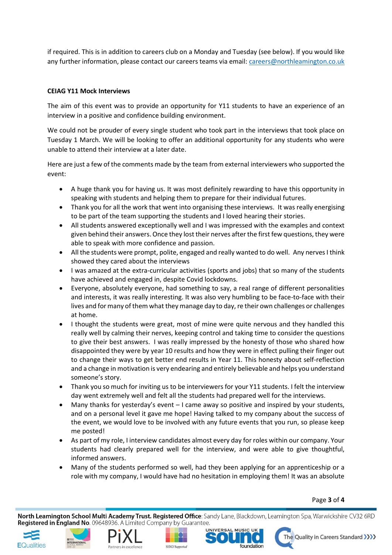if required. This is in addition to careers club on a Monday and Tuesday (see below). If you would like any further information, please contact our careers teams via email: [careers@northleamington.co.uk](mailto:careers@northleamington.co.uk)

# **CEIAG Y11 Mock Interviews**

The aim of this event was to provide an opportunity for Y11 students to have an experience of an interview in a positive and confidence building environment.

We could not be prouder of every single student who took part in the interviews that took place on Tuesday 1 March. We will be looking to offer an additional opportunity for any students who were unable to attend their interview at a later date.

Here are just a few of the comments made by the team from external interviewers who supported the event:

- A huge thank you for having us. It was most definitely rewarding to have this opportunity in speaking with students and helping them to prepare for their individual futures.
- Thank you for all the work that went into organising these interviews. It was really energising to be part of the team supporting the students and I loved hearing their stories.
- All students answered exceptionally well and I was impressed with the examples and context given behind their answers. Once they lost their nerves after the first few questions, they were able to speak with more confidence and passion.
- All the students were prompt, polite, engaged and really wanted to do well. Any nerves I think showed they cared about the interviews
- I was amazed at the extra-curricular activities (sports and jobs) that so many of the students have achieved and engaged in, despite Covid lockdowns.
- Everyone, absolutely everyone, had something to say, a real range of different personalities and interests, it was really interesting. It was also very humbling to be face-to-face with their lives and for many of them what they manage day to day, re their own challenges or challenges at home.
- I thought the students were great, most of mine were quite nervous and they handled this really well by calming their nerves, keeping control and taking time to consider the questions to give their best answers. I was really impressed by the honesty of those who shared how disappointed they were by year 10 results and how they were in effect pulling their finger out to change their ways to get better end results in Year 11. This honesty about self-reflection and a change in motivation is very endearing and entirely believable and helps you understand someone's story.
- Thank you so much for inviting us to be interviewers for your Y11 students. I felt the interview day went extremely well and felt all the students had prepared well for the interviews.
- Many thanks for yesterday's event I came away so positive and inspired by your students, and on a personal level it gave me hope! Having talked to my company about the success of the event, we would love to be involved with any future events that you run, so please keep me posted!
- As part of my role, I interview candidates almost every day for roles within our company. Your students had clearly prepared well for the interview, and were able to give thoughtful, informed answers.
- Many of the students performed so well, had they been applying for an apprenticeship or a role with my company, I would have had no hesitation in employing them! It was an absolute

Page **3** of **4**

North Leamington School Multi Academy Trust. Registered Office: Sandy Lane, Blackdown, Leamington Spa, Warwickshire CV32 6RD Registered in England No. 09648936. A Limited Company by Guarantee.













The Quality in Careers Standard >>>>>>